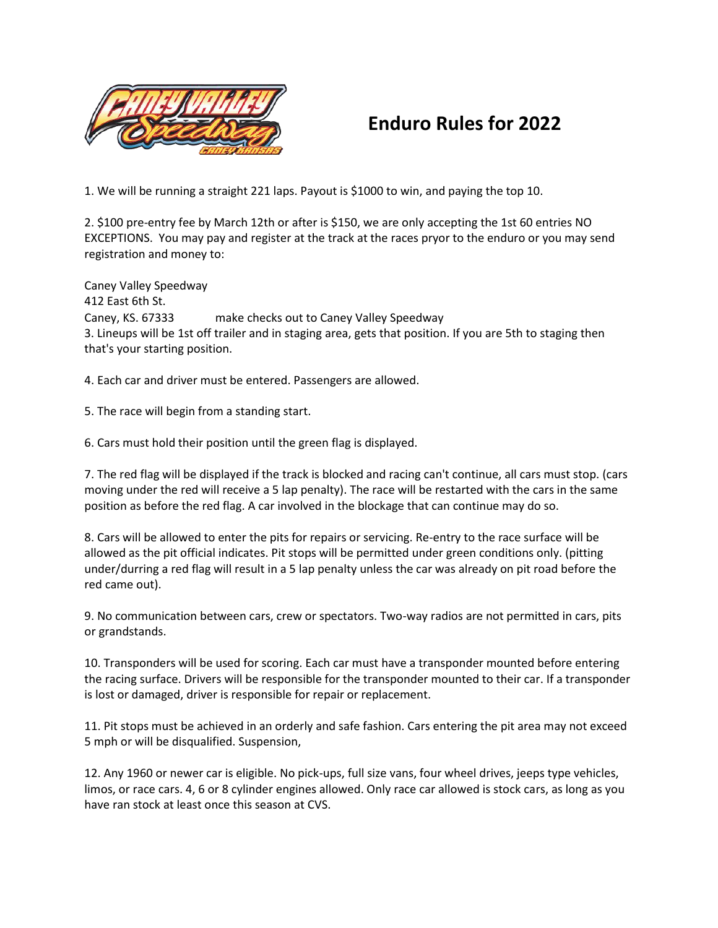

## **Enduro Rules for 2022**

1. We will be running a straight 221 laps. Payout is \$1000 to win, and paying the top 10.

2. \$100 pre-entry fee by March 12th or after is \$150, we are only accepting the 1st 60 entries NO EXCEPTIONS. You may pay and register at the track at the races pryor to the enduro or you may send registration and money to:

Caney Valley Speedway 412 East 6th St. that's your starting position. Caney, KS. 67333 make checks out to Caney Valley Speedway 3. Lineups will be 1st off trailer and in staging area, gets that position. If you are 5th to staging then

4. Each car and driver must be entered. Passengers are allowed.

5. The race will begin from a standing start.

6. Cars must hold their position until the green flag is displayed.

7. The red flag will be displayed if the track is blocked and racing can't continue, all cars must stop. (cars moving under the red will receive a 5 lap penalty). The race will be restarted with the cars in the same position as before the red flag. A car involved in the blockage that can continue may do so.

8. Cars will be allowed to enter the pits for repairs or servicing. Re-entry to the race surface will be allowed as the pit official indicates. Pit stops will be permitted under green conditions only. (pitting under/durring a red flag will result in a 5 lap penalty unless the car was already on pit road before the red came out).

9. No communication between cars, crew or spectators. Two-way radios are not permitted in cars, pits or grandstands.

10. Transponders will be used for scoring. Each car must have a transponder mounted before entering the racing surface. Drivers will be responsible for the transponder mounted to their car. If a transponder is lost or damaged, driver is responsible for repair or replacement.

11. Pit stops must be achieved in an orderly and safe fashion. Cars entering the pit area may not exceed 5 mph or will be disqualified. Suspension,

12. Any 1960 or newer car is eligible. No pick-ups, full size vans, four wheel drives, jeeps type vehicles, limos, or race cars. 4, 6 or 8 cylinder engines allowed. Only race car allowed is stock cars, as long as you have ran stock at least once this season at CVS.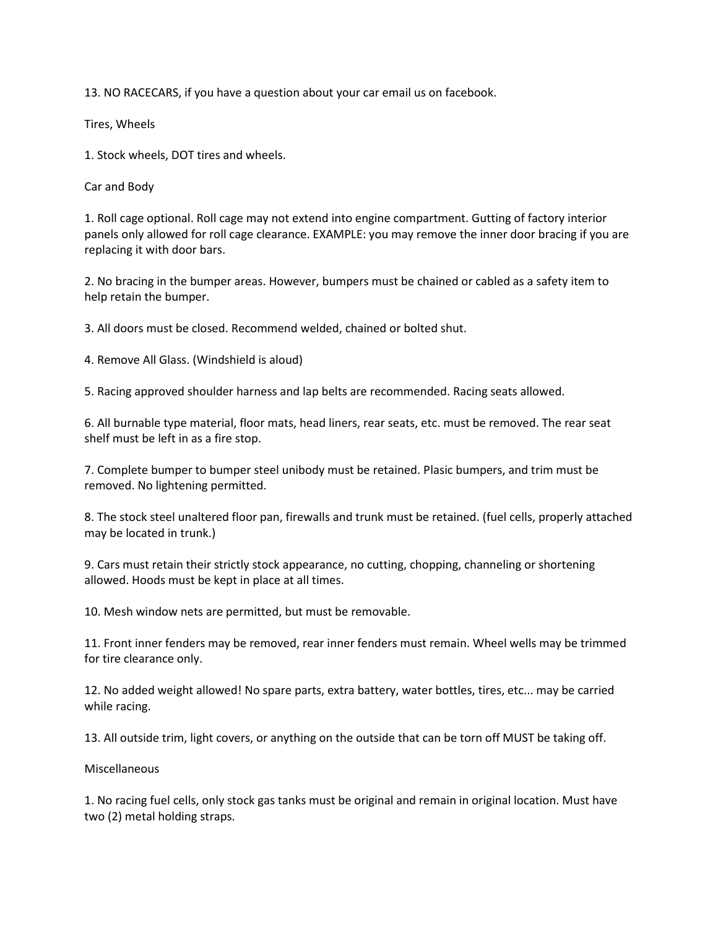13. NO RACECARS, if you have a question about your car email us on facebook.

Tires, Wheels

1. Stock wheels, DOT tires and wheels.

Car and Body

1. Roll cage optional. Roll cage may not extend into engine compartment. Gutting of factory interior panels only allowed for roll cage clearance. EXAMPLE: you may remove the inner door bracing if you are replacing it with door bars.

2. No bracing in the bumper areas. However, bumpers must be chained or cabled as a safety item to help retain the bumper.

3. All doors must be closed. Recommend welded, chained or bolted shut.

4. Remove All Glass. (Windshield is aloud)

5. Racing approved shoulder harness and lap belts are recommended. Racing seats allowed.

6. All burnable type material, floor mats, head liners, rear seats, etc. must be removed. The rear seat shelf must be left in as a fire stop.

7. Complete bumper to bumper steel unibody must be retained. Plasic bumpers, and trim must be removed. No lightening permitted.

8. The stock steel unaltered floor pan, firewalls and trunk must be retained. (fuel cells, properly attached may be located in trunk.)

9. Cars must retain their strictly stock appearance, no cutting, chopping, channeling or shortening allowed. Hoods must be kept in place at all times.

10. Mesh window nets are permitted, but must be removable.

11. Front inner fenders may be removed, rear inner fenders must remain. Wheel wells may be trimmed for tire clearance only.

12. No added weight allowed! No spare parts, extra battery, water bottles, tires, etc... may be carried while racing.

13. All outside trim, light covers, or anything on the outside that can be torn off MUST be taking off.

Miscellaneous

1. No racing fuel cells, only stock gas tanks must be original and remain in original location. Must have two (2) metal holding straps.